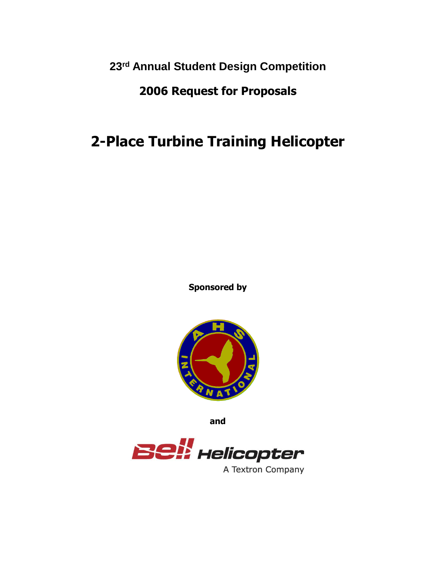**23rd Annual Student Design Competition**

## **2006 Request for Proposals**

# **2-Place Turbine Training Helicopter**

**Sponsored by**



**and**



A Textron Company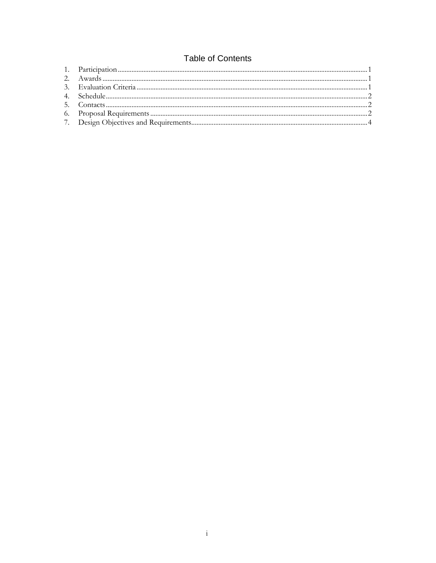### **Table of Contents**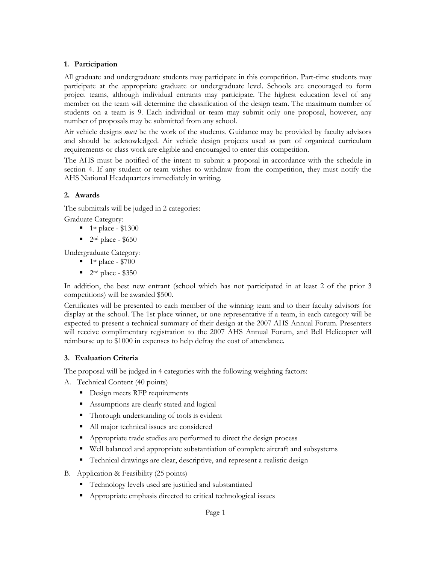#### **1. Participation**

All graduate and undergraduate students may participate in this competition. Part-time students may participate at the appropriate graduate or undergraduate level. Schools are encouraged to form project teams, although individual entrants may participate. The highest education level of any member on the team will determine the classification of the design team. The maximum number of students on a team is 9. Each individual or team may submit only one proposal, however, any number of proposals may be submitted from any school.

Air vehicle designs *must* be the work of the students. Guidance may be provided by faculty advisors and should be acknowledged. Air vehicle design projects used as part of organized curriculum requirements or class work are eligible and encouraged to enter this competition.

The AHS must be notified of the intent to submit a proposal in accordance with the schedule in section 4. If any student or team wishes to withdraw from the competition, they must notify the AHS National Headquarters immediately in writing.

#### **2. Awards**

The submittals will be judged in 2 categories:

Graduate Category:

- $\blacksquare$  1<sup>st</sup> place \$1300
- $\blacksquare$  2<sup>nd</sup> place \$650

Undergraduate Category:

- $\blacksquare$  1<sup>st</sup> place \$700
- $\blacksquare$  2<sup>nd</sup> place \$350

In addition, the best new entrant (school which has not participated in at least 2 of the prior 3 competitions) will be awarded \$500.

Certificates will be presented to each member of the winning team and to their faculty advisors for display at the school. The 1st place winner, or one representative if a team, in each category will be expected to present a technical summary of their design at the 2007 AHS Annual Forum. Presenters will receive complimentary registration to the 2007 AHS Annual Forum, and Bell Helicopter will reimburse up to \$1000 in expenses to help defray the cost of attendance.

#### **3. Evaluation Criteria**

The proposal will be judged in 4 categories with the following weighting factors:

- A. Technical Content (40 points)
	- Design meets RFP requirements
	- **Assumptions are clearly stated and logical**
	- Thorough understanding of tools is evident
	- All major technical issues are considered
	- Appropriate trade studies are performed to direct the design process
	- Well balanced and appropriate substantiation of complete aircraft and subsystems
	- Technical drawings are clear, descriptive, and represent a realistic design
- B. Application & Feasibility (25 points)
	- Technology levels used are justified and substantiated
	- Appropriate emphasis directed to critical technological issues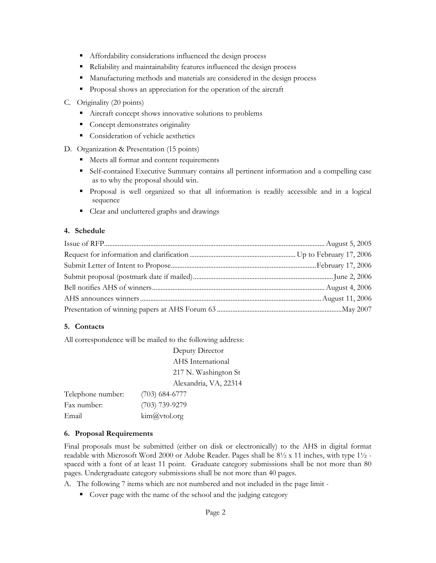- Affordability considerations influenced the design process
- Reliability and maintainability features influenced the design process
- Manufacturing methods and materials are considered in the design process
- **Proposal shows an appreciation for the operation of the aircraft**

#### C. Originality (20 points)

- Aircraft concept shows innovative solutions to problems
- Concept demonstrates originality
- Consideration of vehicle aesthetics
- D. Organization & Presentation (15 points)
	- Meets all format and content requirements
	- Self-contained Executive Summary contains all pertinent information and a compelling case as to why the proposal should win.
	- Proposal is well organized so that all information is readily accessible and in a logical sequence
	- Clear and uncluttered graphs and drawings

#### **4. Schedule**

#### **5. Contacts**

All correspondence will be mailed to the following address:

Deputy Director AHS International 217 N. Washington St Alexandria, VA, 22314

| Telephone number: | $(703)$ 684-6777              |
|-------------------|-------------------------------|
| Fax number:       | $(703)$ 739-9279              |
| Email             | $\lim_{a \to \infty} a$ world |

#### **6. Proposal Requirements**

Final proposals must be submitted (either on disk or electronically) to the AHS in digital format readable with Microsoft Word 2000 or Adobe Reader. Pages shall be  $8\frac{1}{2} \times 11$  inches, with type  $1\frac{1}{2}$  spaced with a font of at least 11 point. Graduate category submissions shall be not more than 80 pages. Undergraduate category submissions shall be not more than 40 pages.

A. The following 7 items which are not numbered and not included in the page limit -

• Cover page with the name of the school and the judging category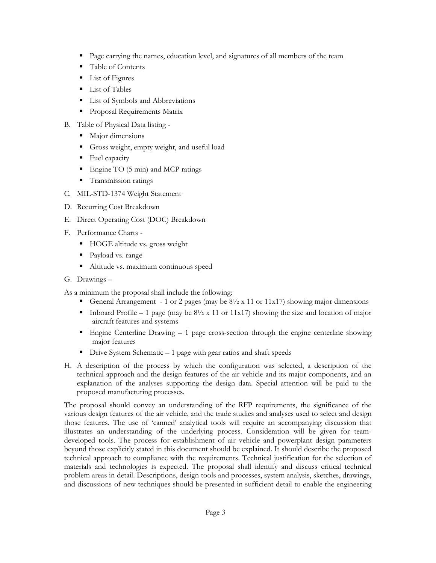- Page carrying the names, education level, and signatures of all members of the team
- Table of Contents
- List of Figures
- **List of Tables**
- List of Symbols and Abbreviations
- **Proposal Requirements Matrix**
- B. Table of Physical Data listing
	- Major dimensions
	- Gross weight, empty weight, and useful load
	- Fuel capacity
	- Engine TO (5 min) and MCP ratings
	- **Transmission ratings**
- C. MIL-STD-1374 Weight Statement
- D. Recurring Cost Breakdown
- E. Direct Operating Cost (DOC) Breakdown
- F. Performance Charts
	- HOGE altitude vs. gross weight
	- Payload vs. range
	- Altitude vs. maximum continuous speed
- G. Drawings –

As a minimum the proposal shall include the following:

- General Arrangement 1 or 2 pages (may be  $8\frac{1}{2}$  x 11 or 11x17) showing major dimensions
- Inboard Profile 1 page (may be  $8\frac{1}{2}$  x 11 or 11x17) showing the size and location of major aircraft features and systems
- **Engine Centerline Drawing 1 page cross-section through the engine centerline showing** major features
- $\blacksquare$  Drive System Schematic 1 page with gear ratios and shaft speeds
- H. A description of the process by which the configuration was selected, a description of the technical approach and the design features of the air vehicle and its major components, and an explanation of the analyses supporting the design data. Special attention will be paid to the proposed manufacturing processes.

The proposal should convey an understanding of the RFP requirements, the significance of the various design features of the air vehicle, and the trade studies and analyses used to select and design those features. The use of 'canned' analytical tools will require an accompanying discussion that illustrates an understanding of the underlying process. Consideration will be given for teamdeveloped tools. The process for establishment of air vehicle and powerplant design parameters beyond those explicitly stated in this document should be explained. It should describe the proposed technical approach to compliance with the requirements. Technical justification for the selection of materials and technologies is expected. The proposal shall identify and discuss critical technical problem areas in detail. Descriptions, design tools and processes, system analysis, sketches, drawings, and discussions of new techniques should be presented in sufficient detail to enable the engineering